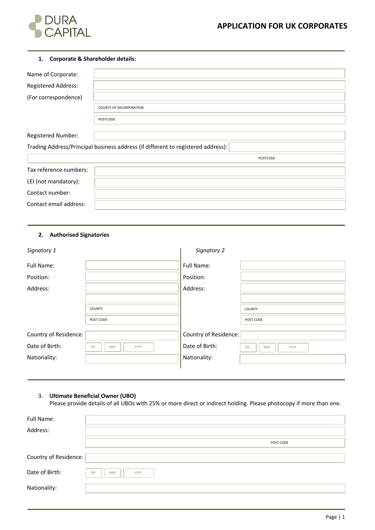

# **1. Corporate & Shareholder details:**

| <b>COUNTY OF INCORPORATION</b>                                                   |
|----------------------------------------------------------------------------------|
| POSTCODE                                                                         |
|                                                                                  |
|                                                                                  |
| Trading Address/Principal business address (if different to registered address): |
| POSTCODE                                                                         |
|                                                                                  |
|                                                                                  |
|                                                                                  |
|                                                                                  |
|                                                                                  |

## **2. Authorised Signatories**

| Signatory 1           |                  | Signatory 2           |                  |
|-----------------------|------------------|-----------------------|------------------|
| Full Name:            |                  | Full Name:            |                  |
| Position:             |                  | Position:             |                  |
| Address:              |                  | Address:              |                  |
|                       |                  |                       |                  |
|                       | <b>COUNTY</b>    |                       | <b>COUNTY</b>    |
|                       | POST CODE        |                       | POST CODE        |
| Country of Residence: |                  | Country of Residence: |                  |
| Date of Birth:        | DD<br>MM<br>YYYY | Date of Birth:        | DD<br>MM<br>YYYY |
| Nationality:          |                  | Nationality:          |                  |
|                       |                  |                       |                  |

# 3. **Ultimate Beneficial Owner (UBO)**

Please provide details of all UBOs with 25% or more direct or indirect holding. Please photocopy if more than one.

| Full Name:            |                                |
|-----------------------|--------------------------------|
| Address:              |                                |
|                       | POST CODE                      |
| Country of Residence: |                                |
| Date of Birth:        | <b>DD</b><br><b>MM</b><br>YYYY |
| Nationality:          |                                |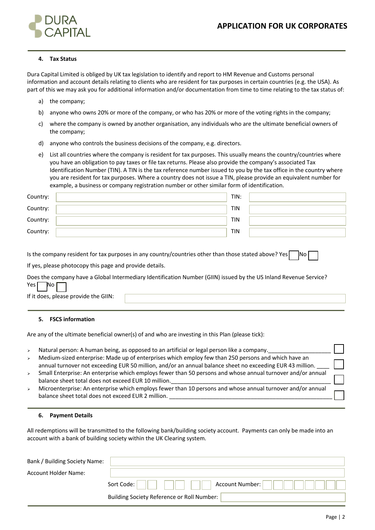

## **4. Tax Status**

Dura Capital Limited is obliged by UK tax legislation to identify and report to HM Revenue and Customs personal information and account details relating to clients who are resident for tax purposes in certain countries (e.g. the USA). As part of this we may ask you for additional information and/or documentation from time to time relating to the tax status of:

- a) the company;
- b) anyone who owns 20% or more of the company, or who has 20% or more of the voting rights in the company;
- c) where the company is owned by another organisation, any individuals who are the ultimate beneficial owners of the company;
- d) anyone who controls the business decisions of the company, e.g. directors.
- e) List all countries where the company is resident for tax purposes. This usually means the country/countries where you have an obligation to pay taxes or file tax returns. Please also provide the company's associated Tax Identification Number (TIN). A TIN is the tax reference number issued to you by the tax office in the country where you are resident for tax purposes. Where a country does not issue a TIN, please provide an equivalent number for example, a business or company registration number or other similar form of identification.

| Country: | TIN:       |  |
|----------|------------|--|
| Country: | TIN        |  |
| Country: | <b>TIN</b> |  |
| Country: | <b>TIN</b> |  |

Is the company resident for tax purposes in any country/countries other than those stated above? Yes  $\Box$  No

If yes, please photocopy this page and provide details.

Does the company have a Global Intermediary Identification Number (GIIN) issued by the US Inland Revenue Service?  $Yes$  No

If it does, please provide the GIIN:

#### **5. FSCS information**

Are any of the ultimate beneficial owner(s) of and who are investing in this Plan (please tick):

- $\triangleright$  Natural person: A human being, as opposed to an artificial or legal person like a company.
- $\triangleright$  Medium-sized enterprise: Made up of enterprises which employ few than 250 persons and which have an annual turnover not exceeding EUR 50 million, and/or an annual balance sheet no exceeding EUR 43 million.
- <sup>Ø</sup> Small Enterprise: An enterprise which employs fewer than 50 persons and whose annual turnover and/or annual balance sheet total does not exceed EUR 10 million.
- $\triangleright$  Microenterprise: An enterprise which employs fewer than 10 persons and whose annual turnover and/or annual balance sheet total does not exceed EUR 2 million.

## **6. Payment Details**

All redemptions will be transmitted to the following bank/building society account. Payments can only be made into an account with a bank of building society within the UK Clearing system.

| Bank / Building Society Name: |                                            |
|-------------------------------|--------------------------------------------|
| <b>Account Holder Name:</b>   |                                            |
|                               | Account Number:<br>Sort Code:              |
|                               | Building Society Reference or Roll Number: |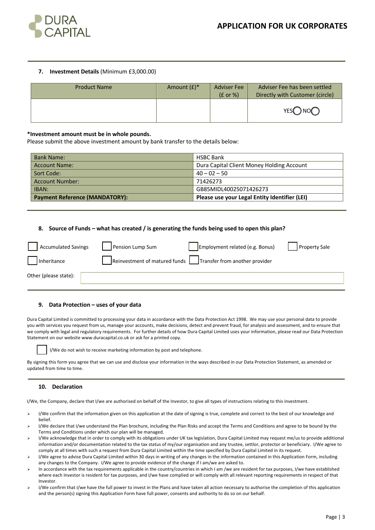

## **7. Investment Details** (Minimum £3,000.00)

| <b>Product Name</b> | Amount $(f)^*$ | <b>Adviser Fee</b><br>$(E \text{ or } \%)$ | Adviser Fee has been settled<br>Directly with Customer (circle) |
|---------------------|----------------|--------------------------------------------|-----------------------------------------------------------------|
|                     |                |                                            | YES <sub>O</sub> NOO                                            |

### **\*Investment amount must be in whole pounds.**

Please submit the above investment amount by bank transfer to the details below:

| <b>Bank Name:</b>                     | <b>HSBC Bank</b>                              |
|---------------------------------------|-----------------------------------------------|
| <b>Account Name:</b>                  | Dura Capital Client Money Holding Account     |
| Sort Code:                            | $40 - 02 - 50$                                |
| <b>Account Number:</b>                | 71426273                                      |
| IBAN:                                 | GB85MIDL40025071426273                        |
| <b>Payment Reference (MANDATORY):</b> | Please use your Legal Entity Identifier (LEI) |

#### **8. Source of Funds – what has created / is generating the funds being used to open this plan?**

| <b>Accumulated Savings</b> | Pension Lump Sum              | Employment related (e.g. Bonus) | <b>Property Sale</b> |
|----------------------------|-------------------------------|---------------------------------|----------------------|
| Inheritance                | Reinvestment of matured funds | Transfer from another provider  |                      |
| Other (please state):      |                               |                                 |                      |

#### **9. Data Protection – uses of your data**

Dura Capital Limited is committed to processing your data in accordance with the Data Protection Act 1998. We may use your personal data to provide you with services you request from us, manage your accounts, make decisions, detect and prevent fraud, for analysis and assessment, and to ensure that we comply with legal and regulatory requirements. For further details of how Dura Capital Limited uses your information, please read our Data Protection Statement on our website www.duracapital.co.uk or ask for a printed copy.



I/We do not wish to receive marketing information by post and telephone.

By signing this form you agree that we can use and disclose your information in the ways described in our Data Protection Statement, as amended or updated from time to time.

#### **10. Declaration**

I/We, the Company, declare that I/we are authorised on behalf of the Investor, to give all types of instructions relating to this investment.

- > I/We confirm that the information given on this application at the date of signing is true, complete and correct to the best of our knowledge and belief.
- I/We declare that I/we understand the Plan brochure, including the Plan Risks and accept the Terms and Conditions and agree to be bound by the Terms and Conditions under which our plan will be managed.
- $\triangleright$  I/We acknowledge that in order to comply with its obligations under UK tax legislation, Dura Capital Limited may request me/us to provide additional information and/or documentation related to the tax status of my/our organisation and any trustee, settlor, protector or beneficiary. I/We agree to comply at all times with such a request from Dura Capital Limited within the time specified by Dura Capital Limited in its request.
- Ø I/We agree to advise Dura Capital Limited within 30 days in writing of any changes in the information contained in this Application Form, including any changes to the Company. I/We agree to provide evidence of the change if I am/we are asked to.
- In accordance with the tax requirements applicable in the country/countries in which I am /we are resident for tax purposes, I/we have established where each Investor is resident for tax purposes, and I/we have complied or will comply with all relevant reporting requirements in respect of that Investor.
- $\triangleright$  I/We confirm that I/we have the full power to invest in the Plans and have taken all action necessary to authorise the completion of this application and the person(s) signing this Application Form have full power, consents and authority to do so on our behalf.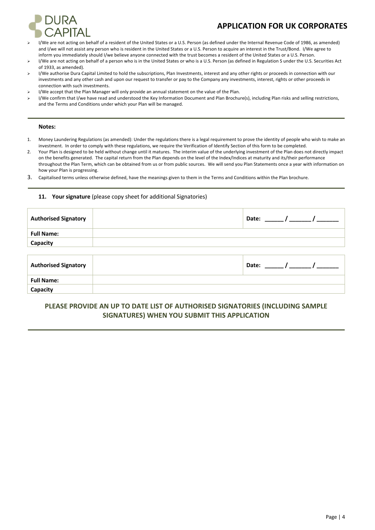

# **APPLICATION FOR UK CORPORATES**

- Ø I/We are not acting on behalf of a resident of the United States or a U.S. Person (as defined under the Internal Revenue Code of 1986, as amended) and I/we will not assist any person who is resident in the United States or a U.S. Person to acquire an interest in the Trust/Bond. I/We agree to inform you immediately should I/we believe anyone connected with the trust becomes a resident of the United States or a U.S. Person.
- Ø I/We are not acting on behalf of a person who is in the United States or who is a U.S. Person (as defined in Regulation S under the U.S. Securities Act of 1933, as amended).
- Ø I/We authorise Dura Capital Limited to hold the subscriptions, Plan Investments, interest and any other rights or proceeds in connection with our investments and any other cash and upon our request to transfer or pay to the Company any investments, interest, rights or other proceeds in connection with such investments.
- I/We accept that the Plan Manager will only provide an annual statement on the value of the Plan.
- I/We confirm that I/we have read and understood the Key Information Document and Plan Brochure(s), including Plan risks and selling restrictions, and the Terms and Conditions under which your Plan will be managed.

#### **Notes:**

- 1. Money Laundering Regulations (as amended): Under the regulations there is a legal requirement to prove the identity of people who wish to make an investment. In order to comply with these regulations, we require the Verification of Identify Section of this form to be completed.
- 2. Your Plan is designed to be held without change until it matures. The interim value of the underlying investment of the Plan does not directly impact on the benefits generated. The capital return from the Plan depends on the level of the Index/Indices at maturity and its/their performance throughout the Plan Term, which can be obtained from us or from public sources. We will send you Plan Statements once a year with information on how your Plan is progressing.
- 3. Capitalised terms unless otherwise defined, have the meanings given to them in the Terms and Conditions within the Plan brochure.

# **11. Your signature** (please copy sheet for additional Signatories)

| <b>Authorised Signatory</b> | Date: $\frac{1}{\sqrt{1-\frac{1}{2}}}\left( \frac{1}{\sqrt{1-\frac{1}{2}}}\right)$         |  |
|-----------------------------|--------------------------------------------------------------------------------------------|--|
| <b>Full Name:</b>           |                                                                                            |  |
| Capacity                    |                                                                                            |  |
|                             |                                                                                            |  |
| <b>Authorised Signatory</b> | Date: $\frac{1}{\sqrt{1-\frac{1}{2}}}\left\vert \frac{1}{\sqrt{1-\frac{1}{2}}}\right\vert$ |  |
| <b>Full Name:</b>           |                                                                                            |  |
| Capacity                    |                                                                                            |  |

# **PLEASE PROVIDE AN UP TO DATE LIST OF AUTHORISED SIGNATORIES (INCLUDING SAMPLE SIGNATURES) WHEN YOU SUBMIT THIS APPLICATION**